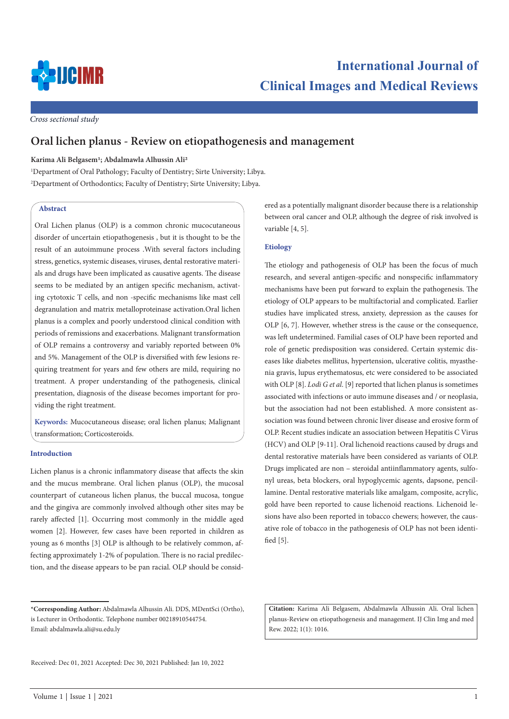

*Cross sectional study*

# **Oral lichen planus - Review on etiopathogenesis and management**

## **Karima Ali Belgasem1; Abdalmawla Alhussin Ali2**

1 Department of Oral Pathology; Faculty of Dentistry; Sirte University; Libya. 2 Department of Orthodontics; Faculty of Dentistry; Sirte University; Libya.

## **Abstract**

Oral Lichen planus (OLP) is a common chronic mucocutaneous disorder of uncertain etiopathogenesis , but it is thought to be the result of an autoimmune process .With several factors including stress, genetics, systemic diseases, viruses, dental restorative materials and drugs have been implicated as causative agents. The disease seems to be mediated by an antigen specific mechanism, activating cytotoxic T cells, and non -specific mechanisms like mast cell degranulation and matrix metalloproteinase activation.Oral lichen planus is a complex and poorly understood clinical condition with periods of remissions and exacerbations. Malignant transformation of OLP remains a controversy and variably reported between 0% and 5%. Management of the OLP is diversified with few lesions requiring treatment for years and few others are mild, requiring no treatment. A proper understanding of the pathogenesis, clinical presentation, diagnosis of the disease becomes important for providing the right treatment.

**Keywords:** Mucocutaneous disease; oral lichen planus; Malignant transformation; Corticosteroids.

## **Introduction**

Lichen planus is a chronic inflammatory disease that affects the skin and the mucus membrane. Oral lichen planus (OLP), the mucosal counterpart of cutaneous lichen planus, the buccal mucosa, tongue and the gingiva are commonly involved although other sites may be rarely affected [1]. Occurring most commonly in the middle aged women [2]. However, few cases have been reported in children as young as 6 months [3] OLP is although to be relatively common, affecting approximately 1-2% of population. There is no racial predilection, and the disease appears to be pan racial. OLP should be considered as a potentially malignant disorder because there is a relationship between oral cancer and OLP, although the degree of risk involved is variable [4, 5].

## **Etiology**

The etiology and pathogenesis of OLP has been the focus of much research, and several antigen-specific and nonspecific inflammatory mechanisms have been put forward to explain the pathogenesis. The etiology of OLP appears to be multifactorial and complicated. Earlier studies have implicated stress, anxiety, depression as the causes for OLP [6, 7]. However, whether stress is the cause or the consequence, was left undetermined. Familial cases of OLP have been reported and role of genetic predisposition was considered. Certain systemic diseases like diabetes mellitus, hypertension, ulcerative colitis, myasthenia gravis, lupus erythematosus, etc were considered to be associated with OLP [8]. *Lodi G et al*. [9] reported that lichen planus is sometimes associated with infections or auto immune diseases and / or neoplasia, but the association had not been established. A more consistent association was found between chronic liver disease and erosive form of OLP. Recent studies indicate an association between Hepatitis C Virus (HCV) and OLP [9-11]. Oral lichenoid reactions caused by drugs and dental restorative materials have been considered as variants of OLP. Drugs implicated are non – steroidal antiinflammatory agents, sulfonyl ureas, beta blockers, oral hypoglycemic agents, dapsone, pencillamine. Dental restorative materials like amalgam, composite, acrylic, gold have been reported to cause lichenoid reactions. Lichenoid lesions have also been reported in tobacco chewers; however, the causative role of tobacco in the pathogenesis of OLP has not been identified [5].

**Citation:** Karima Ali Belgasem, Abdalmawla Alhussin Ali. Oral lichen planus-Review on etiopathogenesis and management. IJ Clin Img and med Rew. 2022; 1(1): 1016.

**<sup>\*</sup>Corresponding Author:** Abdalmawla Alhussin Ali. DDS, MDentSci (Ortho), is Lecturer in Orthodontic. Telephone number 00218910544754. Email: abdalmawla.ali@su.edu.ly

Received: Dec 01, 2021 Accepted: Dec 30, 2021 Published: Jan 10, 2022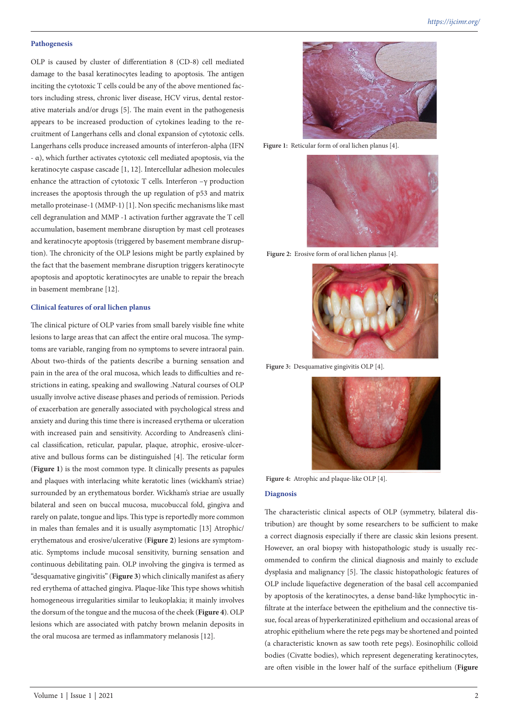## **Pathogenesis**

OLP is caused by cluster of differentiation 8 (CD-8) cell mediated damage to the basal keratinocytes leading to apoptosis. The antigen inciting the cytotoxic T cells could be any of the above mentioned factors including stress, chronic liver disease, HCV virus, dental restorative materials and/or drugs [5]. The main event in the pathogenesis appears to be increased production of cytokines leading to the recruitment of Langerhans cells and clonal expansion of cytotoxic cells. Langerhans cells produce increased amounts of interferon-alpha (IFN - α), which further activates cytotoxic cell mediated apoptosis, via the keratinocyte caspase cascade [1, 12]. Intercellular adhesion molecules enhance the attraction of cytotoxic T cells. Interferon –γ production increases the apoptosis through the up regulation of p53 and matrix metallo proteinase-1 (MMP-1) [1]. Non specific mechanisms like mast cell degranulation and MMP -1 activation further aggravate the T cell accumulation, basement membrane disruption by mast cell proteases and keratinocyte apoptosis (triggered by basement membrane disruption). The chronicity of the OLP lesions might be partly explained by the fact that the basement membrane disruption triggers keratinocyte apoptosis and apoptotic keratinocytes are unable to repair the breach in basement membrane [12].

### **Clinical features of oral lichen planus**

The clinical picture of OLP varies from small barely visible fine white lesions to large areas that can affect the entire oral mucosa. The symptoms are variable, ranging from no symptoms to severe intraoral pain. About two-thirds of the patients describe a burning sensation and pain in the area of the oral mucosa, which leads to difficulties and restrictions in eating, speaking and swallowing .Natural courses of OLP usually involve active disease phases and periods of remission. Periods of exacerbation are generally associated with psychological stress and anxiety and during this time there is increased erythema or ulceration with increased pain and sensitivity. According to Andreasen's clinical classification, reticular, papular, plaque, atrophic, erosive-ulcerative and bullous forms can be distinguished [4]. The reticular form (**Figure 1**) is the most common type. It clinically presents as papules and plaques with interlacing white keratotic lines (wickham's striae) surrounded by an erythematous border. Wickham's striae are usually bilateral and seen on buccal mucosa, mucobuccal fold, gingiva and rarely on palate, tongue and lips. This type is reportedly more common in males than females and it is usually asymptomatic [13] Atrophic/ erythematous and erosive/ulcerative (**Figure 2**) lesions are symptomatic. Symptoms include mucosal sensitivity, burning sensation and continuous debilitating pain. OLP involving the gingiva is termed as "desquamative gingivitis" (**Figure 3**) which clinically manifest as afiery red erythema of attached gingiva. Plaque-like This type shows whitish homogeneous irregularities similar to leukoplakia; it mainly involves the dorsum of the tongue and the mucosa of the cheek (**Figure 4**). OLP lesions which are associated with patchy brown melanin deposits in the oral mucosa are termed as inflammatory melanosis [12].



**Figure 1:** Reticular form of oral lichen planus [4].



**Figure 2:** Erosive form of oral lichen planus [4].



Figure 3: Desquamative gingivitis OLP [4].



**Figure 4:** Atrophic and plaque-like OLP [4].

#### **Diagnosis**

The characteristic clinical aspects of OLP (symmetry, bilateral distribution) are thought by some researchers to be sufficient to make a correct diagnosis especially if there are classic skin lesions present. However, an oral biopsy with histopathologic study is usually recommended to confirm the clinical diagnosis and mainly to exclude dysplasia and malignancy [5]. The classic histopathologic features of OLP include liquefactive degeneration of the basal cell accompanied by apoptosis of the keratinocytes, a dense band-like lymphocytic infiltrate at the interface between the epithelium and the connective tissue, focal areas of hyperkeratinized epithelium and occasional areas of atrophic epithelium where the rete pegs may be shortened and pointed (a characteristic known as saw tooth rete pegs). Eosinophilic colloid bodies (Civatte bodies), which represent degenerating keratinocytes, are often visible in the lower half of the surface epithelium (**Figure**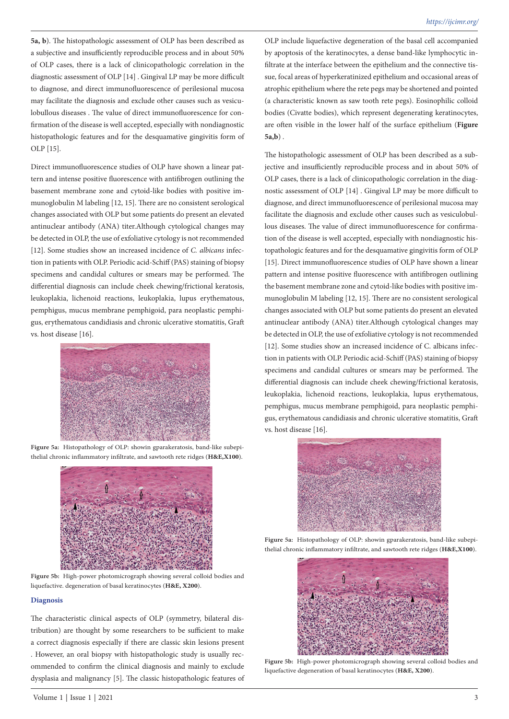**5a, b**). The histopathologic assessment of OLP has been described as a subjective and insufficiently reproducible process and in about 50% of OLP cases, there is a lack of clinicopathologic correlation in the diagnostic assessment of OLP [14] . Gingival LP may be more difficult to diagnose, and direct immunofluorescence of perilesional mucosa may facilitate the diagnosis and exclude other causes such as vesiculobullous diseases . The value of direct immunofluorescence for confirmation of the disease is well accepted, especially with nondiagnostic histopathologic features and for the desquamative gingivitis form of OLP [15].

Direct immunofluorescence studies of OLP have shown a linear pattern and intense positive fluorescence with antifibrogen outlining the basement membrane zone and cytoid-like bodies with positive immunoglobulin M labeling [12, 15]. There are no consistent serological changes associated with OLP but some patients do present an elevated antinuclear antibody (ANA) titer.Although cytological changes may be detected in OLP, the use of exfoliative cytology is not recommended [12]. Some studies show an increased incidence of *C. albicans* infection in patients with OLP. Periodic acid-Schiff (PAS) staining of biopsy specimens and candidal cultures or smears may be performed. The differential diagnosis can include cheek chewing/frictional keratosis, leukoplakia, lichenoid reactions, leukoplakia, lupus erythematous, pemphigus, mucus membrane pemphigoid, para neoplastic pemphigus, erythematous candidiasis and chronic ulcerative stomatitis, Graft vs. host disease [16].



**Figure 5a:** Histopathology of OLP: showin gparakeratosis, band-like subepithelial chronic inflammatory infiltrate, and sawtooth rete ridges (**H&E,X100**).



**Figure 5b:** High-power photomicrograph showing several colloid bodies and liquefactive. degeneration of basal keratinocytes (**H&E, X200**).

#### **Diagnosis**

The characteristic clinical aspects of OLP (symmetry, bilateral distribution) are thought by some researchers to be sufficient to make a correct diagnosis especially if there are classic skin lesions present . However, an oral biopsy with histopathologic study is usually recommended to confirm the clinical diagnosis and mainly to exclude dysplasia and malignancy [5]. The classic histopathologic features of OLP include liquefactive degeneration of the basal cell accompanied by apoptosis of the keratinocytes, a dense band-like lymphocytic infiltrate at the interface between the epithelium and the connective tissue, focal areas of hyperkeratinized epithelium and occasional areas of atrophic epithelium where the rete pegs may be shortened and pointed (a characteristic known as saw tooth rete pegs). Eosinophilic colloid bodies (Civatte bodies), which represent degenerating keratinocytes, are often visible in the lower half of the surface epithelium (**Figure 5a,b**) .

The histopathologic assessment of OLP has been described as a subjective and insufficiently reproducible process and in about 50% of OLP cases, there is a lack of clinicopathologic correlation in the diagnostic assessment of OLP [14] . Gingival LP may be more difficult to diagnose, and direct immunofluorescence of perilesional mucosa may facilitate the diagnosis and exclude other causes such as vesiculobullous diseases. The value of direct immunofluorescence for confirmation of the disease is well accepted, especially with nondiagnostic histopathologic features and for the desquamative gingivitis form of OLP [15]. Direct immunofluorescence studies of OLP have shown a linear pattern and intense positive fluorescence with antifibrogen outlining the basement membrane zone and cytoid-like bodies with positive immunoglobulin M labeling [12, 15]. There are no consistent serological changes associated with OLP but some patients do present an elevated antinuclear antibody (ANA) titer.Although cytological changes may be detected in OLP, the use of exfoliative cytology is not recommended [12]. Some studies show an increased incidence of C. albicans infection in patients with OLP. Periodic acid-Schiff (PAS) staining of biopsy specimens and candidal cultures or smears may be performed. The differential diagnosis can include cheek chewing/frictional keratosis, leukoplakia, lichenoid reactions, leukoplakia, lupus erythematous, pemphigus, mucus membrane pemphigoid, para neoplastic pemphigus, erythematous candidiasis and chronic ulcerative stomatitis, Graft vs. host disease [16].



**Figure 5a:** Histopathology of OLP: showin gparakeratosis, band-like subepithelial chronic inflammatory infiltrate, and sawtooth rete ridges (**H&E,X100**).



**Figure 5b:** High-power photomicrograph showing several colloid bodies and liquefactive degeneration of basal keratinocytes (**H&E, X200**).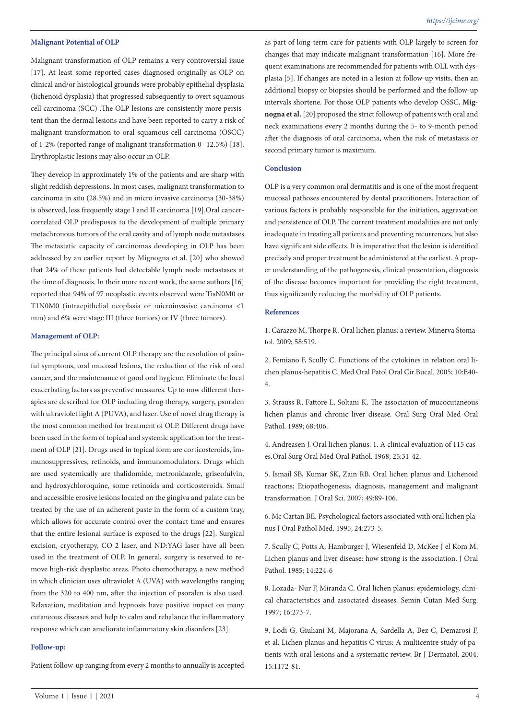### **Malignant Potential of OLP**

Malignant transformation of OLP remains a very controversial issue [17]. At least some reported cases diagnosed originally as OLP on clinical and/or histological grounds were probably epithelial dysplasia (lichenoid dysplasia) that progressed subsequently to overt squamous cell carcinoma (SCC) .The OLP lesions are consistently more persistent than the dermal lesions and have been reported to carry a risk of malignant transformation to oral squamous cell carcinoma (OSCC) of 1-2% (reported range of malignant transformation 0- 12.5%) [18]. Erythroplastic lesions may also occur in OLP.

They develop in approximately 1% of the patients and are sharp with slight reddish depressions. In most cases, malignant transformation to carcinoma in situ (28.5%) and in micro invasive carcinoma (30-38%) is observed, less frequently stage I and II carcinoma [19].Oral cancercorrelated OLP predisposes to the development of multiple primary metachronous tumors of the oral cavity and of lymph node metastases The metastatic capacity of carcinomas developing in OLP has been addressed by an earlier report by Mignogna et al. [20] who showed that 24% of these patients had detectable lymph node metastases at the time of diagnosis. In their more recent work, the same authors [16] reported that 94% of 97 neoplastic events observed were TisN0M0 or T1N0M0 (intraepithelial neoplasia or microinvasive carcinoma <1 mm) and 6% were stage III (three tumors) or IV (three tumors).

## **Management of OLP:**

The principal aims of current OLP therapy are the resolution of painful symptoms, oral mucosal lesions, the reduction of the risk of oral cancer, and the maintenance of good oral hygiene. Eliminate the local exacerbating factors as preventive measures. Up to now different therapies are described for OLP including drug therapy, surgery, psoralen with ultraviolet light A (PUVA), and laser. Use of novel drug therapy is the most common method for treatment of OLP. Different drugs have been used in the form of topical and systemic application for the treatment of OLP [21]. Drugs used in topical form are corticosteroids, immunosuppressives, retinoids, and immunomodulators. Drugs which are used systemically are thalidomide, metronidazole, griseofulvin, and hydroxychloroquine, some retinoids and corticosteroids. Small and accessible erosive lesions located on the gingiva and palate can be treated by the use of an adherent paste in the form of a custom tray, which allows for accurate control over the contact time and ensures that the entire lesional surface is exposed to the drugs [22]. Surgical excision, cryotherapy, CO 2 laser, and ND:YAG laser have all been used in the treatment of OLP. In general, surgery is reserved to remove high-risk dysplastic areas. Photo chemotherapy, a new method in which clinician uses ultraviolet A (UVA) with wavelengths ranging from the 320 to 400 nm, after the injection of psoralen is also used. Relaxation, meditation and hypnosis have positive impact on many cutaneous diseases and help to calm and rebalance the inflammatory response which can ameliorate inflammatory skin disorders [23].

#### **Follow-up:**

Patient follow-up ranging from every 2 months to annually is accepted

as part of long-term care for patients with OLP largely to screen for changes that may indicate malignant transformation [16]. More frequent examinations are recommended for patients with OLL with dysplasia [5]. If changes are noted in a lesion at follow-up visits, then an additional biopsy or biopsies should be performed and the follow-up intervals shortene. For those OLP patients who develop OSSC, **Mignogna et al.** [20] proposed the strict followup of patients with oral and neck examinations every 2 months during the 5- to 9-month period after the diagnosis of oral carcinoma, when the risk of metastasis or second primary tumor is maximum.

#### **Conclusion**

OLP is a very common oral dermatitis and is one of the most frequent mucosal pathoses encountered by dental practitioners. Interaction of various factors is probably responsible for the initiation, aggravation and persistence of OLP. The current treatment modalities are not only inadequate in treating all patients and preventing recurrences, but also have significant side effects. It is imperative that the lesion is identified precisely and proper treatment be administered at the earliest. A proper understanding of the pathogenesis, clinical presentation, diagnosis of the disease becomes important for providing the right treatment, thus significantly reducing the morbidity of OLP patients.

#### **References**

1. Carazzo M, Thorpe R. Oral lichen planus: a review. Minerva Stomatol. 2009; 58:519.

2. Femiano F, Scully C. Functions of the cytokines in relation oral lichen planus-hepatitis C. Med Oral Patol Oral Cir Bucal. 2005; 10:E40- 4.

3. Strauss R, Fattore L, Soltani K. The association of mucocutaneous lichen planus and chronic liver disease. Oral Surg Oral Med Oral Pathol. 1989; 68:406.

4. Andreasen J. Oral lichen planus. 1. A clinical evaluation of 115 cases.Oral Surg Oral Med Oral Pathol. 1968; 25:31-42.

5. Ismail SB, Kumar SK, Zain RB. Oral lichen planus and Lichenoid reactions; Etiopathogenesis, diagnosis, management and malignant transformation. J Oral Sci. 2007; 49:89-106.

6. Mc Cartan BE. Psychological factors associated with oral lichen planus J Oral Pathol Med. 1995; 24:273-5.

7. Scully C, Potts A, Hamburger J, Wiesenfeld D, McKee J el Kom M. Lichen planus and liver disease: how strong is the association. J Oral Pathol. 1985; 14:224-6

8. Lozada- Nur F, Miranda C. Oral lichen planus: epidemiology, clinical characteristics and associated diseases. Semin Cutan Med Surg. 1997; 16:273-7.

9. Lodi G, Giuliani M, Majorana A, Sardella A, Bez C, Demarosi F, et al. Lichen planus and hepatitis C virus: A multicentre study of patients with oral lesions and a systematic review. Br J Dermatol. 2004; 15:1172-81.